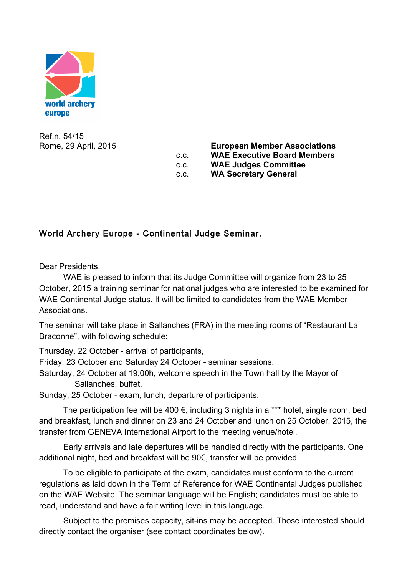

Ref.n. 54/15

Rome, 29 April, 2015 **European Member Associations** c.c. **WAE Executive Board Members** c.c. **WAE Judges Committee** c.c. **WA Secretary General**

## World Archery Europe - Continental Judge Seminar.

Dear Presidents,

WAE is pleased to inform that its Judge Committee will organize from 23 to 25 October, 2015 a training seminar for national judges who are interested to be examined for WAE Continental Judge status. It will be limited to candidates from the WAE Member Associations.

The seminar will take place in Sallanches (FRA) in the meeting rooms of "Restaurant La Braconne", with following schedule:

Thursday, 22 October - arrival of participants,

Friday, 23 October and Saturday 24 October - seminar sessions,

Saturday, 24 October at 19:00h, welcome speech in the Town hall by the Mayor of Sallanches, buffet,

Sunday, 25 October - exam, lunch, departure of participants.

The participation fee will be 400  $\epsilon$ , including 3 nights in a \*\*\* hotel, single room, bed and breakfast, lunch and dinner on 23 and 24 October and lunch on 25 October, 2015, the transfer from GENEVA International Airport to the meeting venue/hotel.

Early arrivals and late departures will be handled directly with the participants. One additional night, bed and breakfast will be 90€, transfer will be provided.

To be eligible to participate at the exam, candidates must conform to the current regulations as laid down in the Term of Reference for WAE Continental Judges published on the WAE Website. The seminar language will be English; candidates must be able to read, understand and have a fair writing level in this language.

Subject to the premises capacity, sit-ins may be accepted. Those interested should directly contact the organiser (see contact coordinates below).